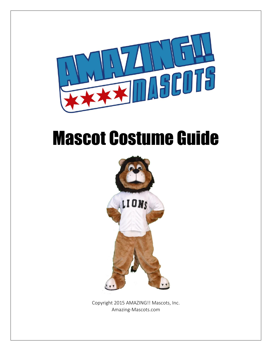

# Mascot Costume Guide



Copyright 2015 AMAZING!! Mascots, Inc. Amazing-Mascots.com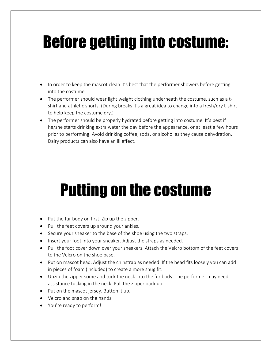# Before getting into costume:

- In order to keep the mascot clean it's best that the performer showers before getting into the costume.
- The performer should wear light weight clothing underneath the costume, such as a tshirt and athletic shorts. (During breaks it's a great idea to change into a fresh/dry t-shirt to help keep the costume dry.)
- The performer should be properly hydrated before getting into costume. It's best if he/she starts drinking extra water the day before the appearance, or at least a few hours prior to performing. Avoid drinking coffee, soda, or alcohol as they cause dehydration. Dairy products can also have an ill effect.

## Putting on the costume

- Put the fur body on first. Zip up the zipper.
- Pull the feet covers up around your ankles.
- Secure your sneaker to the base of the shoe using the two straps.
- Insert your foot into your sneaker. Adjust the straps as needed.
- Pull the foot cover down over your sneakers. Attach the Velcro bottom of the feet covers to the Velcro on the shoe base.
- Put on mascot head. Adjust the chinstrap as needed. If the head fits loosely you can add in pieces of foam (included) to create a more snug fit.
- Unzip the zipper some and tuck the neck into the fur body. The performer may need assistance tucking in the neck. Pull the zipper back up.
- Put on the mascot jersey. Button it up.
- Velcro and snap on the hands.
- You're ready to perform!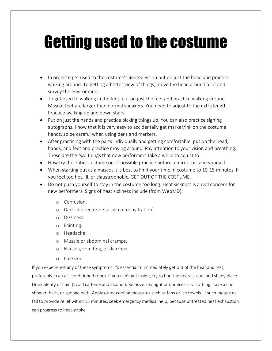# Getting used to the costume

- In order to get used to the costume's limited vision put on just the head and practice walking around. To getting a better view of things, move the head around a lot and survey the environment.
- To get used to walking in the feet, put on just the feet and practice walking around. Mascot feet are larger than normal sneakers. You need to adjust to the extra length. Practice walking up and down stairs.
- Put on just the hands and practice picking things up. You can also practice signing autographs. Know that it is very easy to accidentally get marker/ink on the costume hands, so be careful when using pens and markers.
- After practicing with the parts individually and getting comfortable, put on the head, hands, and feet and practice moving around. Pay attention to your vision and breathing. These are the two things that new performers take a while to adjust to.
- Now try the entire costume on. If possible practice before a mirror or tape yourself.
- When starting out as a mascot it is best to limit your time in costume to 10-15 minutes. If you feel too hot, ill, or claustrophobic, GET OUT OF THE COSTUME.
- Do not push yourself to stay in the costume too long. Heat sickness is a real concern for new performers. Signs of heat sickness include (from WebMD):
	- o Confusion.
	- o Dark-colored urine (a sign of dehydration)
	- o Dizziness.
	- o Fainting.
	- o Headache.
	- o Muscle or abdominal cramps.
	- o Nausea, vomiting, or diarrhea.
	- o Pale [skin](http://www.webmd.com/skin-problems-and-treatments/picture-of-the-skin)

If you experience any of these symptoms it's essential to immediately get out of the heat and rest, preferably in an air-conditioned room. If you can't get inside, try to find the nearest cool and shady place. Drink plenty of fluid (avoid [caffeine](http://www.webmd.com/balance/caffeine-myths-and-facts) and alcohol). Remove any tight or unnecessary clothing. Take a cool shower, bath, or sponge bath. Apply other cooling measures such as fans or ice towels. If such measures fail to provide relief within 15 minutes, seek emergency medical help, because untreated heat exhaustion can progress to heat stroke.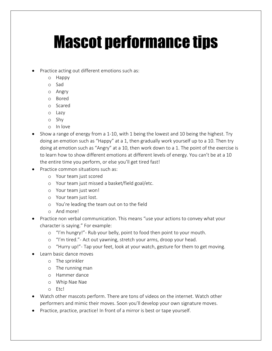## Mascot performance tips

- Practice acting out different emotions such as:
	- o Happy
	- o Sad
	- o Angry
	- o Bored
	- o Scared
	- o Lazy
	- o Shy
	- o In love
- Show a range of energy from a 1-10, with 1 being the lowest and 10 being the highest. Try doing an emotion such as "Happy" at a 1, then gradually work yourself up to a 10. Then try doing at emotion such as "Angry" at a 10, then work down to a 1. The point of the exercise is to learn how to show different emotions at different levels of energy. You can't be at a 10 the entire time you perform, or else you'll get tired fast!
- Practice common situations such as:
	- o Your team just scored
	- o Your team just missed a basket/field goal/etc.
	- o Your team just won!
	- o Your team just lost.
	- o You're leading the team out on to the field
	- o And more!
- Practice non verbal communication. This means "use your actions to convey what your character is saying." For example:
	- o "I'm hungry!"- Rub your belly, point to food then point to your mouth.
	- o "I'm tired."- Act out yawning, stretch your arms, droop your head.
	- o "Hurry up!"- Tap your feet, look at your watch, gesture for them to get moving.
- Learn basic dance moves
	- o The sprinkler
	- o The running man
	- o Hammer dance
	- o Whip Nae Nae
	- o Etc!
- Watch other mascots perform. There are tons of videos on the internet. Watch other performers and mimic their moves. Soon you'll develop your own signature moves.
- Practice, practice, practice! In front of a mirror is best or tape yourself.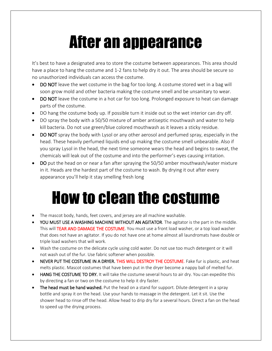### After an appearance

It's best to have a designated area to store the costume between appearances. This area should have a place to hang the costume and 1-2 fans to help dry it out. The area should be secure so no unauthorized individuals can access the costume.

- DO NOT leave the wet costume in the bag for too long. A costume stored wet in a bag will soon grow mold and other bacteria making the costume smell and be unsanitary to wear.
- DO NOT leave the costume in a hot car for too long. Prolonged exposure to heat can damage parts of the costume.
- DO hang the costume body up. If possible turn it inside out so the wet interior can dry off.
- DO spray the body with a 50/50 mixture of amber antiseptic mouthwash and water to help kill bacteria. Do not use green/blue colored mouthwash as it leaves a sticky residue.
- DO NOT spray the body with Lysol or any other aerosol and perfumed spray, especially in the head. These heavily perfumed liquids end up making the costume smell unbearable. Also if you spray Lysol in the head, the next time someone wears the head and begins to sweat, the chemicals will leak out of the costume and into the performer's eyes causing irritation.
- DO put the head on or near a fan after spraying the 50/50 amber mouthwash/water mixture in it. Heads are the hardest part of the costume to wash. By drying it out after every appearance you'll help it stay smelling fresh long

#### How to clean the costume

- The mascot body, hands, feet covers, and jersey are all machine washable.
- YOU MUST USE A WASHING MACHINE WITHOUT AN AGITATOR. The agitator is the part in the middle. This will TEAR AND DAMAGE THE COSTUME. You must use a front load washer, or a top load washer that does not have an agitator. If you do not have one at home almost all laundromats have double or triple load washers that will work.
- Wash the costume on the delicate cycle using cold water. Do not use too much detergent or it will not wash out of the fur. Use fabric softener when possible.
- NEVER PUT THE COSTUME IN A DRYER. THIS WILL DESTROY THE COSTUME. Fake fur is plastic, and heat melts plastic. Mascot costumes that have been put in the dryer become a nappy ball of melted fur.
- HANG THE COSTUME TO DRY. It will take the costume several hours to air dry. You can expedite this by directing a fan or two on the costume to help it dry faster.
- The head must be hand washed. Put the head on a stand for support. Dilute detergent in a spray bottle and spray it on the head. Use your hands to massage in the detergent. Let it sit. Use the shower head to rinse off the head. Allow head to drip dry for a several hours. Direct a fan on the head to speed up the drying process.